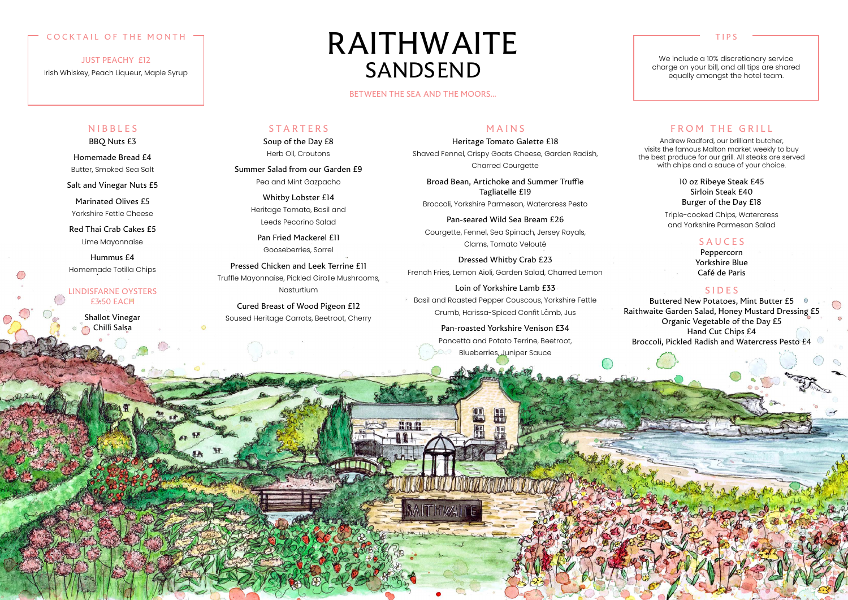#### TIPS

We include a 10% discretionary service charge on your bill, and all tips are shared equally amongst the hotel team.

#### COCKTAIL OF THE MONTH

JUST PEACHY £12

Irish Whiskey, Peach Liqueur, Maple Syrup

NIBBLES

BBQ Nuts £3

Shallot Vinegar Chilli Salsa

Homemade Bread £4 Butter, Smoked Sea Salt

Salt and Vinegar Nuts £5

Marinated Olives £5 Yorkshire Fettle Cheese

Red Thai Crab Cakes £5 Lime Mayonnaise

Hummus £4 Homemade Totilla Chips

#### LINDISFARNE OYSTERS £3.50 EACH

Soup of the Day £8 Herb Oil, Croutons

Summer Salad from our Garden £9 Pea and Mint Gazpacho

> Whitby Lobster £14 Heritage Tomato, Basil and Leeds Pecorino Salad

> > Loin of Yorkshire Lamb £33 Basil and Roasted Pepper Couscous, Yorkshire Fettle Crumb, Harissa-Spiced Confit Lamb, Jus

Pan Fried Mackerel £11 Gooseberries, Sorrel

Pressed Chicken and Leek Terrine £11 Truffle Mayonnaise, Pickled Girolle Mushrooms, Nasturtium

Cured Breast of Wood Pigeon £12 Soused Heritage Carrots, Beetroot, Cherry

#### MAINS

Heritage Tomato Galette £18

Buttered New Potatoes, Mint Butter £5 Raithwaite Garden Salad, Honey Mustard Dressing £5 Organic Vegetable of the Day £5 Hand Cut Chips £4 Broccoli, Pickled Radish and Watercress Pesto £4

Shaved Fennel, Crispy Goats Cheese, Garden Radish, Charred Courgette

Andrew Radford, our brilliant butcher, visits the famous Malton market weekly to buy the best produce for our grill. All steaks are served with chips and a sauce of your choice.

Broad Bean, Artichoke and Summer Truffle Tagliatelle £19

Broccoli, Yorkshire Parmesan, Watercress Pesto

Pan-seared Wild Sea Bream £26 Courgette, Fennel, Sea Spinach, Jersey Royals, Clams, Tomato Velouté

Dressed Whitby Crab £23 French Fries, Lemon Aioli, Garden Salad, Charred Lemon

> Pan-roasted Yorkshire Venison £34 Pancetta and Potato Terrine, Beetroot, Blueberries, Juniper Sauce

### FROM THE GRILL

10 oz Ribeye Steak £45 Sirloin Steak £40 Burger of the Day £18

Triple-cooked Chips, Watercress and Yorkshire Parmesan Salad

#### SAUCES

Peppercorn Yorkshire Blue Café de Paris

#### SIDES

BETWEEN THE SEA AND THE MOORS...

**HIP** 

#### **STARTERS**

# RAITHWAITE SANDSEND